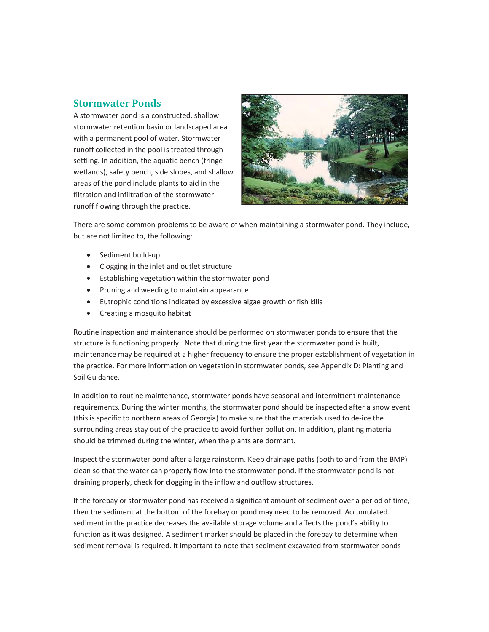## **Stormwater Ponds**

A stormwater pond is a constructed, shallow stormwater retention basin or landscaped area with a permanent pool of water. Stormwater runoff collected in the pool is treated through settling. In addition, the aquatic bench (fringe wetlands), safety bench, side slopes, and shallow areas of the pond include plants to aid in the filtration and infiltration of the stormwater runoff flowing through the practice.



There are some common problems to be aware of when maintaining a stormwater pond. They include, but are not limited to, the following:

- Sediment build-up
- Clogging in the inlet and outlet structure
- **•** Establishing vegetation within the stormwater pond
- Pruning and weeding to maintain appearance
- Eutrophic conditions indicated by excessive algae growth or fish kills
- Creating a mosquito habitat

Routine inspection and maintenance should be performed on stormwater ponds to ensure that the structure is functioning properly. Note that during the first year the stormwater pond is built, maintenance may be required at a higher frequency to ensure the proper establishment of vegetation in the practice. For more information on vegetation in stormwater ponds, see Appendix D: Planting and Soil Guidance.

In addition to routine maintenance, stormwater ponds have seasonal and intermittent maintenance requirements. During the winter months, the stormwater pond should be inspected after a snow event (this is specific to northern areas of Georgia) to make sure that the materials used to de-ice the surrounding areas stay out of the practice to avoid further pollution. In addition, planting material should be trimmed during the winter, when the plants are dormant.

Inspect the stormwater pond after a large rainstorm. Keep drainage paths (both to and from the BMP) clean so that the water can properly flow into the stormwater pond. If the stormwater pond is not draining properly, check for clogging in the inflow and outflow structures.

If the forebay or stormwater pond has received a significant amount of sediment over a period of time, then the sediment at the bottom of the forebay or pond may need to be removed. Accumulated sediment in the practice decreases the available storage volume and affects the pond's ability to function as it was designed. A sediment marker should be placed in the forebay to determine when sediment removal is required. It important to note that sediment excavated from stormwater ponds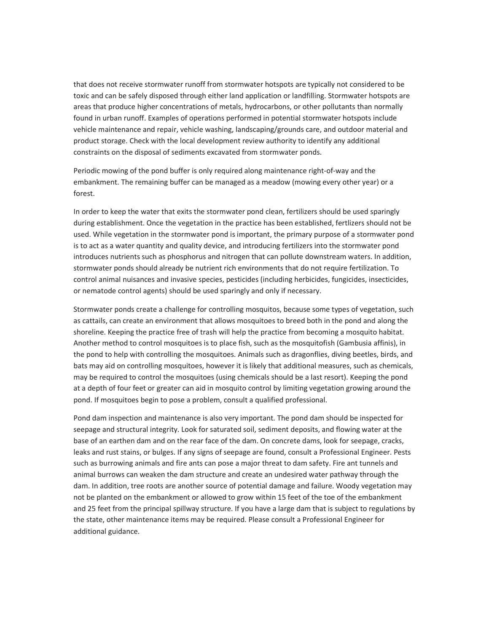that does not receive stormwater runoff from stormwater hotspots are typically not considered to be toxic and can be safely disposed through either land application or landfilling. Stormwater hotspots are areas that produce higher concentrations of metals, hydrocarbons, or other pollutants than normally found in urban runoff. Examples of operations performed in potential stormwater hotspots include vehicle maintenance and repair, vehicle washing, landscaping/grounds care, and outdoor material and product storage. Check with the local development review authority to identify any additional constraints on the disposal of sediments excavated from stormwater ponds.

Periodic mowing of the pond buffer is only required along maintenance right-of-way and the embankment. The remaining buffer can be managed as a meadow (mowing every other year) or a forest.

In order to keep the water that exits the stormwater pond clean, fertilizers should be used sparingly during establishment. Once the vegetation in the practice has been established, fertlizers should not be used. While vegetation in the stormwater pond is important, the primary purpose of a stormwater pond is to act as a water quantity and quality device, and introducing fertilizers into the stormwater pond introduces nutrients such as phosphorus and nitrogen that can pollute downstream waters. In addition, stormwater ponds should already be nutrient rich environments that do not require fertilization. To control animal nuisances and invasive species, pesticides (including herbicides, fungicides, insecticides, or nematode control agents) should be used sparingly and only if necessary.

Stormwater ponds create a challenge for controlling mosquitos, because some types of vegetation, such as cattails, can create an environment that allows mosquitoes to breed both in the pond and along the shoreline. Keeping the practice free of trash will help the practice from becoming a mosquito habitat. Another method to control mosquitoes is to place fish, such as the mosquitofish (Gambusia affinis), in the pond to help with controlling the mosquitoes. Animals such as dragonflies, diving beetles, birds, and bats may aid on controlling mosquitoes, however it is likely that additional measures, such as chemicals, may be required to control the mosquitoes (using chemicals should be a last resort). Keeping the pond at a depth of four feet or greater can aid in mosquito control by limiting vegetation growing around the pond. If mosquitoes begin to pose a problem, consult a qualified professional.

Pond dam inspection and maintenance is also very important. The pond dam should be inspected for seepage and structural integrity. Look for saturated soil, sediment deposits, and flowing water at the base of an earthen dam and on the rear face of the dam. On concrete dams, look for seepage, cracks, leaks and rust stains, or bulges. If any signs of seepage are found, consult a Professional Engineer. Pests such as burrowing animals and fire ants can pose a major threat to dam safety. Fire ant tunnels and animal burrows can weaken the dam structure and create an undesired water pathway through the dam. In addition, tree roots are another source of potential damage and failure. Woody vegetation may not be planted on the embankment or allowed to grow within 15 feet of the toe of the embankment and 25 feet from the principal spillway structure. If you have a large dam that is subject to regulations by the state, other maintenance items may be required. Please consult a Professional Engineer for additional guidance.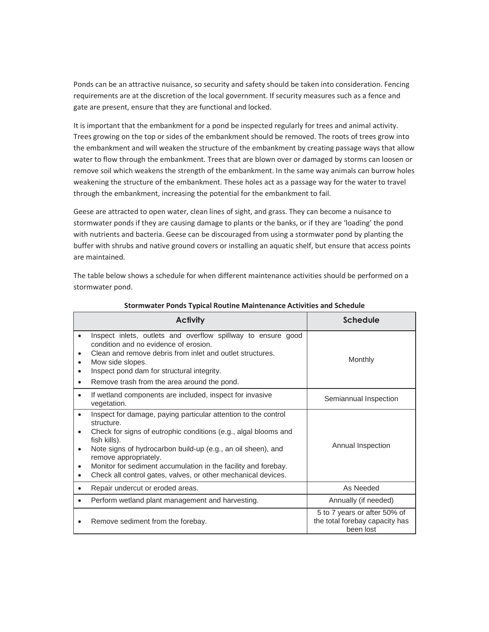Ponds can be an attractive nuisance, so security and safety should be taken into consideration. Fencing requirements are at the discretion of the local government. If security measures such as a fence and gate are present, ensure that they are functional and locked.

It is important that the embankment for a pond be inspected regularly for trees and animal activity. Trees growing on the top or sides of the embankment should be removed. The roots of trees grow into the embankment and will weaken the structure of the embankment by creating passage ways that allow water to flow through the embankment. Trees that are blown over or damaged by storms can loosen or remove soil which weakens the strength of the embankment. In the same way animals can burrow holes weakening the structure of the embankment. These holes act as a passage way for the water to travel through the embankment, increasing the potential for the embankment to fail.

Geese are attracted to open water, clean lines of sight, and grass. They can become a nuisance to stormwater ponds if they are causing damage to plants or the banks, or if they are 'loading' the pond with nutrients and bacteria. Geese can be discouraged from using a stormwater pond by planting the buffer with shrubs and native ground covers or installing an aquatic shelf, but ensure that access points are maintained.

The table below shows a schedule for when different maintenance activities should be performed on a stormwater pond.

|                     | <b>Activity</b>                                                                                                                                                                                                                                                                                                                                                                             | <b>Schedule</b>                                                             |
|---------------------|---------------------------------------------------------------------------------------------------------------------------------------------------------------------------------------------------------------------------------------------------------------------------------------------------------------------------------------------------------------------------------------------|-----------------------------------------------------------------------------|
| ٠<br>٠<br>$\bullet$ | Inspect inlets, outlets and overflow spillway to ensure good<br>condition and no evidence of erosion.<br>Clean and remove debris from inlet and outlet structures.<br>Mow side slopes.<br>Inspect pond dam for structural integrity.<br>Remove trash from the area around the pond.                                                                                                         | Monthly                                                                     |
| $\bullet$           | If wetland components are included, inspect for invasive<br>vegetation.                                                                                                                                                                                                                                                                                                                     | Semiannual Inspection                                                       |
| ٠<br>٠              | Inspect for damage, paying particular attention to the control<br>structure.<br>Check for signs of eutrophic conditions (e.g., algal blooms and<br>fish kills).<br>Note signs of hydrocarbon build-up (e.g., an oil sheen), and<br>remove appropriately.<br>Monitor for sediment accumulation in the facility and forebay.<br>Check all control gates, valves, or other mechanical devices. | Annual Inspection                                                           |
|                     | Repair undercut or eroded areas.                                                                                                                                                                                                                                                                                                                                                            | As Needed                                                                   |
|                     | Perform wetland plant management and harvesting.                                                                                                                                                                                                                                                                                                                                            | Annually (if needed)                                                        |
|                     | Remove sediment from the forebay.                                                                                                                                                                                                                                                                                                                                                           | 5 to 7 years or after 50% of<br>the total forebay capacity has<br>been lost |

## **Stormwater Ponds Typical Routine Maintenance Activities and Schedule**